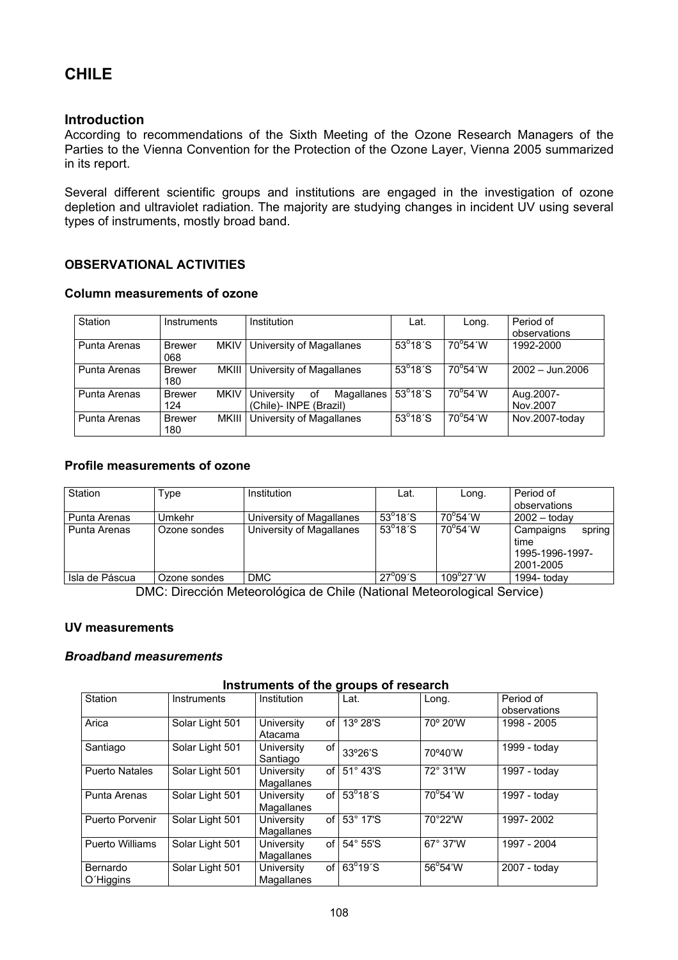# **CHILE**

# **Introduction**

According to recommendations of the Sixth Meeting of the Ozone Research Managers of the Parties to the Vienna Convention for the Protection of the Ozone Layer, Vienna 2005 summarized in its report.

Several different scientific groups and institutions are engaged in the investigation of ozone depletion and ultraviolet radiation. The majority are studying changes in incident UV using several types of instruments, mostly broad band.

# **OBSERVATIONAL ACTIVITIES**

#### **Column measurements of ozone**

| Station      | Instruments                         | Institution                                              | Lat.                      | Long.                     | Period of<br>observations |
|--------------|-------------------------------------|----------------------------------------------------------|---------------------------|---------------------------|---------------------------|
| Punta Arenas | <b>MKIV</b><br><b>Brewer</b><br>068 | University of Magallanes                                 | $53^{\circ}18^{\prime}$ S | $70^{\circ}54'W$          | 1992-2000                 |
| Punta Arenas | MKIII<br><b>Brewer</b><br>180       | University of Magallanes                                 | $53^{\circ}18^{\prime}$ S | $70^{\circ}54'$ W         | $2002 - \text{Jun.}2006$  |
| Punta Arenas | <b>MKIV</b><br><b>Brewer</b><br>124 | University<br>Magallanes<br>0f<br>(Chile)- INPE (Brazil) | $53^{\circ}18^{\prime}$ S | $70^{\circ}54^{\prime}$ W | Aug.2007-<br>Nov.2007     |
| Punta Arenas | MKIII<br><b>Brewer</b><br>180       | University of Magallanes                                 | $53^{\circ}18^{\prime}$ S | $70^{\circ}54^{\prime}$ W | Nov.2007-today            |

### **Profile measurements of ozone**

| Station        | Type         | Institution              | Lat.                      | Long.                     | Period of<br>observations                                   |
|----------------|--------------|--------------------------|---------------------------|---------------------------|-------------------------------------------------------------|
| l Punta Arenas | Umkehr       | University of Magallanes | $53^{\circ}18^{\prime}$ S | 70°54′W                   | $2002 -$ today                                              |
| l Punta Arenas | Ozone sondes | University of Magallanes | $53^{\circ}18^{\prime}$ S | $70^{\circ}54^{\prime}$ W | spring<br>Campaigns<br>time<br>1995-1996-1997-<br>2001-2005 |
| Isla de Páscua | Ozone sondes | <b>DMC</b>               | $27^{\circ}09^{\prime}$ S | $109^{\circ}27'W$         | 1994- todav                                                 |

DMC: Dirección Meteorológica de Chile (National Meteorological Service)

### **UV measurements**

#### *Broadband measurements*

#### **Instruments of the groups of research**

| Station               | Instruments     | Institution                      | Lat.                      | Long.             | Period of<br>observations |
|-----------------------|-----------------|----------------------------------|---------------------------|-------------------|---------------------------|
| Arica                 | Solar Light 501 | University<br>of<br>Atacama      | 13° 28'S                  | 70° 20'W          | 1998 - 2005               |
| Santiago              | Solar Light 501 | of<br>University<br>Santiago     | 33°26'S                   | 70°40'W           | 1999 - today              |
| <b>Puerto Natales</b> | Solar Light 501 | of l<br>University<br>Magallanes | 51° 43'S                  | 72° 31'W          | 1997 - today              |
| Punta Arenas          | Solar Light 501 | University<br>of l<br>Magallanes | $53^{\circ}18^{\prime}$ S | $70^{\circ}$ 54'W | 1997 - today              |
| Puerto Porvenir       | Solar Light 501 | of I<br>University<br>Magallanes | 53° 17'S                  | 70°22'W           | 1997-2002                 |
| Puerto Williams       | Solar Light 501 | of<br>University<br>Magallanes   | $54^\circ 55^\circ$ S     | 67° 37'W          | 1997 - 2004               |
| Bernardo<br>O'Higgins | Solar Light 501 | University<br>of l<br>Magallanes | $63^{\circ}19^{\prime}$ S | 56°54'W           | $2007 -$ today            |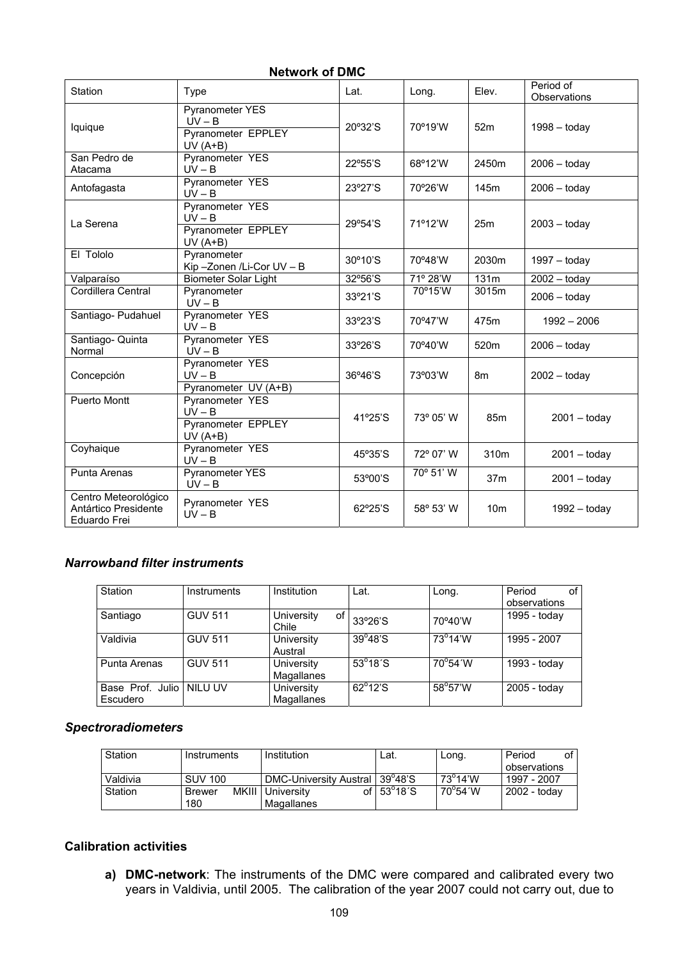| טווע וט אוטיסוו                                              |                                                                              |         |           |                 |                           |  |  |
|--------------------------------------------------------------|------------------------------------------------------------------------------|---------|-----------|-----------------|---------------------------|--|--|
| Station                                                      | Type                                                                         | Lat.    | Long.     | Elev.           | Period of<br>Observations |  |  |
| lquique                                                      | <b>Pyranometer YES</b><br>$UV - B$<br><b>Pyranometer EPPLEY</b><br>$UV(A+B)$ | 20°32'S | 70°19'W   | 52m             | $1998 -$ today            |  |  |
| San Pedro de<br>Atacama                                      | Pyranometer YES<br>$UV - B$                                                  | 22°55'S | 68°12'W   | 2450m           | $2006 -$ today            |  |  |
| Antofagasta                                                  | Pyranometer YES<br>$UV - B$                                                  | 23°27'S | 70°26'W   | 145m            | $2006 -$ today            |  |  |
| La Serena                                                    | Pyranometer YES<br>$UV - B$<br>Pyranometer EPPLEY<br>$UV(A+B)$               | 29°54'S | 71°12'W   | 25m             | $2003 -$ today            |  |  |
| El Tololo                                                    | Pyranometer<br>Kip-Zonen /Li-Cor UV - B                                      | 30°10'S | 70°48'W   | 2030m           | $1997 -$ today            |  |  |
| Valparaíso                                                   | <b>Biometer Solar Light</b>                                                  | 32°56'S | 71° 28'W  | 131m            | $2002 -$ today            |  |  |
| Cordillera Central                                           | Pyranometer<br>$UV - B$                                                      | 33°21'S | 70°15'W   | 3015m           | $2006 -$ today            |  |  |
| Santiago- Pudahuel                                           | Pyranometer YES<br>$UV - B$                                                  | 33°23'S | 70°47'W   | 475m            | $1992 - 2006$             |  |  |
| Santiago- Quinta<br>Normal                                   | Pyranometer YES<br>$UV - B$                                                  | 33°26'S | 70°40'W   | 520m            | $2006 -$ today            |  |  |
| Concepción                                                   | Pyranometer YES<br>$UV - B$<br>Pyranometer UV (A+B)                          | 36°46'S | 73°03'W   | 8m              | $2002 - today$            |  |  |
| <b>Puerto Montt</b>                                          | Pyranometer YES<br>$UV - B$<br><b>Pyranometer EPPLEY</b><br>$UV(A+B)$        | 41°25'S | 73° 05' W | 85m             | $2001 -$ today            |  |  |
| Coyhaique                                                    | Pyranometer YES<br>$UV - B$                                                  | 45°35'S | 72° 07' W | 310m            | $2001 -$ today            |  |  |
| Punta Arenas                                                 | <b>Pyranometer YES</b><br>$UV - B$                                           | 53°00'S | 70° 51' W | 37 <sub>m</sub> | $2001 -$ today            |  |  |
| Centro Meteorológico<br>Antártico Presidente<br>Eduardo Frei | Pyranometer YES<br>$UV - B$                                                  | 62°25'S | 58° 53' W | 10 <sub>m</sub> | $1992 - today$            |  |  |

# **Network of DMC**

#### *Narrowband filter instruments*

| Station                                | <b>Instruments</b> | Institution               | Lat.                      | Long.             | Period<br>0f<br>observations |
|----------------------------------------|--------------------|---------------------------|---------------------------|-------------------|------------------------------|
| Santiago                               | <b>GUV 511</b>     | University<br>of<br>Chile | 33°26'S                   | 70°40'W           | 1995 - today                 |
| Valdivia                               | <b>GUV 511</b>     | University<br>Austral     | $39^{\circ}48^{\circ}$ S  | $73^{\circ}$ 14'W | 1995 - 2007                  |
| Punta Arenas                           | <b>GUV 511</b>     | University<br>Magallanes  | $53^{\circ}18^{\prime}$ S | $70^{\circ}54'$ W | 1993 - today                 |
| Base Prof. Julio   NILU UV<br>Escudero |                    | University<br>Magallanes  | $62^{\circ}12^{\circ}S$   | 58°57'W           | 2005 - today                 |

# *Spectroradiometers*

| Station  | Instruments    | Institution                      | Lat.                         | Long.             | οf<br>Period |
|----------|----------------|----------------------------------|------------------------------|-------------------|--------------|
|          |                |                                  |                              |                   | observations |
| Valdivia | <b>SUV 100</b> | DMC-University Austral   39°48'S |                              | $73^{\circ}$ 14'W | 1997 - 2007  |
| Station  | Brewer         | MKIII   University               | of $53^{\circ}18^{\prime}$ S | $70^{\circ}$ 54'W | 2002 - todav |
|          | 180            | Magallanes                       |                              |                   |              |

# **Calibration activities**

**a) DMC-network**: The instruments of the DMC were compared and calibrated every two years in Valdivia, until 2005. The calibration of the year 2007 could not carry out, due to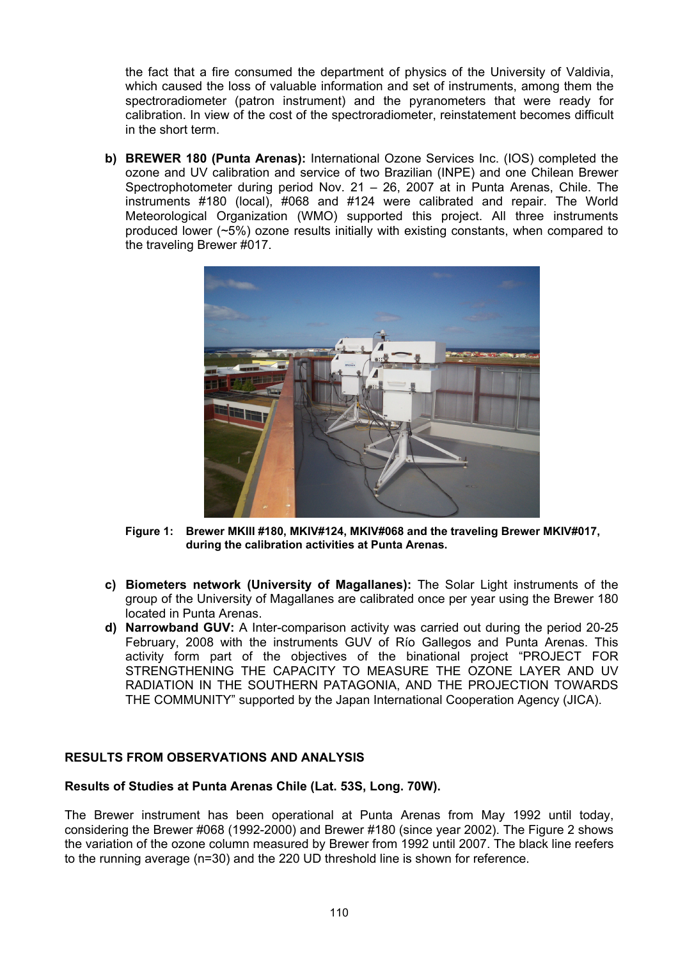the fact that a fire consumed the department of physics of the University of Valdivia, which caused the loss of valuable information and set of instruments, among them the spectroradiometer (patron instrument) and the pyranometers that were ready for calibration. In view of the cost of the spectroradiometer, reinstatement becomes difficult in the short term.

**b) BREWER 180 (Punta Arenas):** International Ozone Services Inc. (IOS) completed the ozone and UV calibration and service of two Brazilian (INPE) and one Chilean Brewer Spectrophotometer during period Nov. 21 – 26, 2007 at in Punta Arenas, Chile. The instruments #180 (local), #068 and #124 were calibrated and repair. The World Meteorological Organization (WMO) supported this project. All three instruments produced lower (~5%) ozone results initially with existing constants, when compared to the traveling Brewer #017.



**Figure 1: Brewer MKIII #180, MKIV#124, MKIV#068 and the traveling Brewer MKIV#017, during the calibration activities at Punta Arenas.** 

- **c) Biometers network (University of Magallanes):** The Solar Light instruments of the group of the University of Magallanes are calibrated once per year using the Brewer 180 located in Punta Arenas.
- **d) Narrowband GUV:** A Inter-comparison activity was carried out during the period 20-25 February, 2008 with the instruments GUV of Río Gallegos and Punta Arenas. This activity form part of the objectives of the binational project "PROJECT FOR STRENGTHENING THE CAPACITY TO MEASURE THE OZONE LAYER AND UV RADIATION IN THE SOUTHERN PATAGONIA, AND THE PROJECTION TOWARDS THE COMMUNITY" supported by the Japan International Cooperation Agency (JICA).

### **RESULTS FROM OBSERVATIONS AND ANALYSIS**

### **Results of Studies at Punta Arenas Chile (Lat. 53S, Long. 70W).**

The Brewer instrument has been operational at Punta Arenas from May 1992 until today, considering the Brewer #068 (1992-2000) and Brewer #180 (since year 2002). The Figure 2 shows the variation of the ozone column measured by Brewer from 1992 until 2007. The black line reefers to the running average (n=30) and the 220 UD threshold line is shown for reference.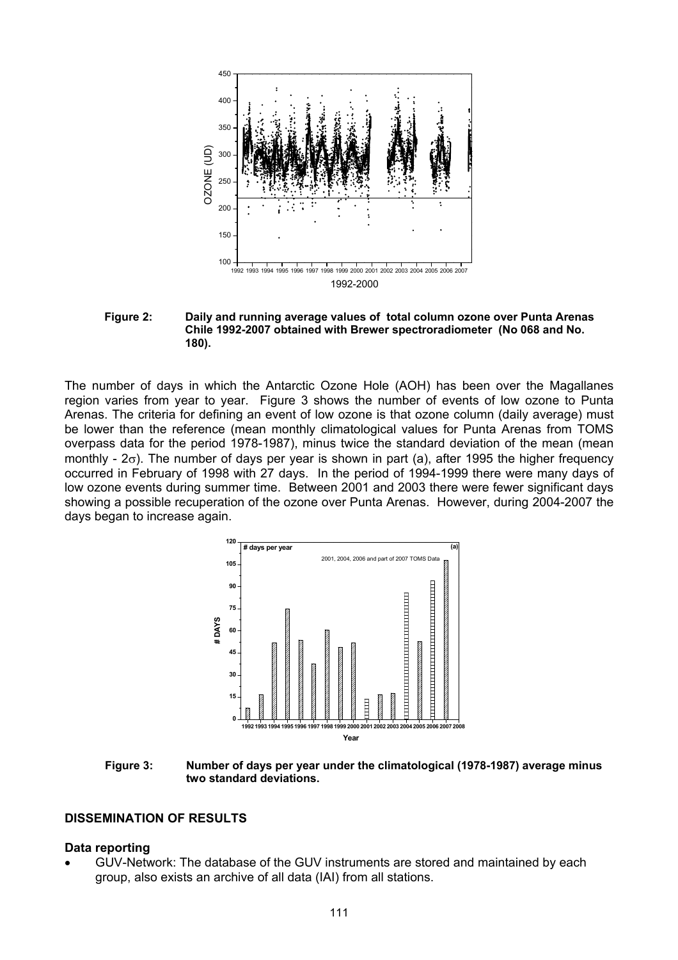

 **Figure 2: Daily and running average values of total column ozone over Punta Arenas Chile 1992-2007 obtained with Brewer spectroradiometer (No 068 and No. 180).** 

The number of days in which the Antarctic Ozone Hole (AOH) has been over the Magallanes region varies from year to year. Figure 3 shows the number of events of low ozone to Punta Arenas. The criteria for defining an event of low ozone is that ozone column (daily average) must be lower than the reference (mean monthly climatological values for Punta Arenas from TOMS overpass data for the period 1978-1987), minus twice the standard deviation of the mean (mean monthly -  $2\sigma$ ). The number of days per year is shown in part (a), after 1995 the higher frequency occurred in February of 1998 with 27 days. In the period of 1994-1999 there were many days of low ozone events during summer time. Between 2001 and 2003 there were fewer significant days showing a possible recuperation of the ozone over Punta Arenas. However, during 2004-2007 the days began to increase again.



**Figure 3: Number of days per year under the climatological (1978-1987) average minus two standard deviations.** 

#### **DISSEMINATION OF RESULTS**

#### **Data reporting**

• GUV-Network: The database of the GUV instruments are stored and maintained by each group, also exists an archive of all data (IAI) from all stations.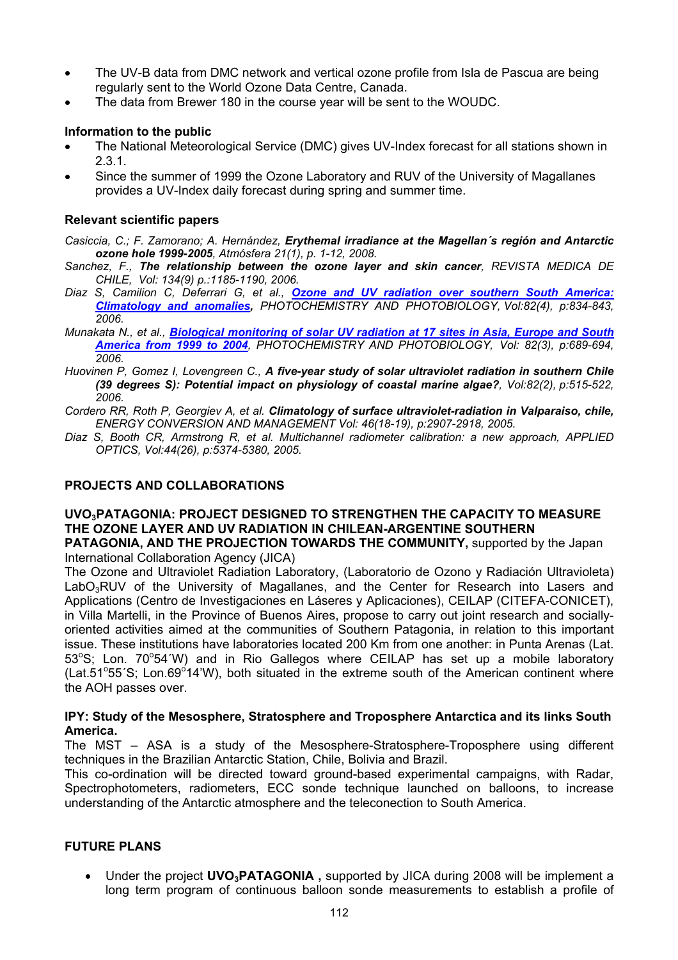- The UV-B data from DMC network and vertical ozone profile from Isla de Pascua are being regularly sent to the World Ozone Data Centre, Canada.
- The data from Brewer 180 in the course year will be sent to the WOUDC.

# **Information to the public**

- The National Meteorological Service (DMC) gives UV-Index forecast for all stations shown in 2.3.1.
- Since the summer of 1999 the Ozone Laboratory and RUV of the University of Magallanes provides a UV-Index daily forecast during spring and summer time.

#### **Relevant scientific papers**

*Casiccia, C.; F. Zamorano; A. Hernández, Erythemal irradiance at the Magellan´s región and Antarctic ozone hole 1999-2005, Atmósfera 21(1), p. 1-12, 2008.* 

- *Sanchez, F., [The relationship between the ozone layer and skin cancer](javascript:submit_form()), REVISTA MEDICA DE CHILE, Vol: 134(9) p.:1185-1190, 2006.*
- *Diaz S, Camilion C, Deferrari G, et al., [Ozone and UV radiation over southern South America:](javascript:submit_form())  [Climatology and anomalies,](javascript:submit_form()) PHOTOCHEMISTRY AND PHOTOBIOLOGY, Vol:82(4), p:834-843, 2006.*
- *Munakata N., et al., [Biological monitoring of solar UV radiation at 17 sites in Asia, Europe and South](javascript:submit_form())  [America from 1999 to 2004](javascript:submit_form()), PHOTOCHEMISTRY AND PHOTOBIOLOGY, Vol: 82(3), p:689-694, 2006.*
- *Huovinen P, Gomez I, Lovengreen C., [A five-year study of solar ultraviolet radiation in southern Chile](javascript:submit_form())  [\(39 degrees S\): Potential impact on physiology of coastal marine algae?](javascript:submit_form()), Vol:82(2), p:515-522, 2006.*
- *Cordero RR, Roth P, Georgiev A, et al. [Climatology of surface ultraviolet-radiation in Valparaiso, chile,](javascript:submit_form()) ENERGY CONVERSION AND MANAGEMENT Vol: 46(18-19), p:2907-2918, 2005.*
- *Diaz S, Booth CR, Armstrong R, et al. [Multichannel radiometer calibration: a new approach](javascript:submit_form()), APPLIED OPTICS, Vol:44(26), p:5374-5380, 2005.*

# **PROJECTS AND COLLABORATIONS**

# **UVO3PATAGONIA: PROJECT DESIGNED TO STRENGTHEN THE CAPACITY TO MEASURE THE OZONE LAYER AND UV RADIATION IN CHILEAN-ARGENTINE SOUTHERN**

**PATAGONIA, AND THE PROJECTION TOWARDS THE COMMUNITY,** supported by the Japan International Collaboration Agency (JICA)

The Ozone and Ultraviolet Radiation Laboratory, (Laboratorio de Ozono y Radiación Ultravioleta) LabO<sub>3</sub>RUV of the University of Magallanes, and the Center for Research into Lasers and Applications (Centro de Investigaciones en Láseres y Aplicaciones), CEILAP (CITEFA-CONICET), in Villa Martelli, in the Province of Buenos Aires, propose to carry out joint research and sociallyoriented activities aimed at the communities of Southern Patagonia, in relation to this important issue. These institutions have laboratories located 200 Km from one another: in Punta Arenas (Lat. 53°S; Lon. 70°54′W) and in Rio Gallegos where CEILAP has set up a mobile laboratory (Lat.51°55'S; Lon.69°14'W), both situated in the extreme south of the American continent where the AOH passes over.

#### **IPY: Study of the Mesosphere, Stratosphere and Troposphere Antarctica and its links South America.**

The MST – ASA is a study of the Mesosphere-Stratosphere-Troposphere using different techniques in the Brazilian Antarctic Station, Chile, Bolivia and Brazil.

This co-ordination will be directed toward ground-based experimental campaigns, with Radar, Spectrophotometers, radiometers, ECC sonde technique launched on balloons, to increase understanding of the Antarctic atmosphere and the teleconection to South America.

### **FUTURE PLANS**

• Under the project **UVO3PATAGONIA ,** supported by JICA during 2008 will be implement a long term program of continuous balloon sonde measurements to establish a profile of